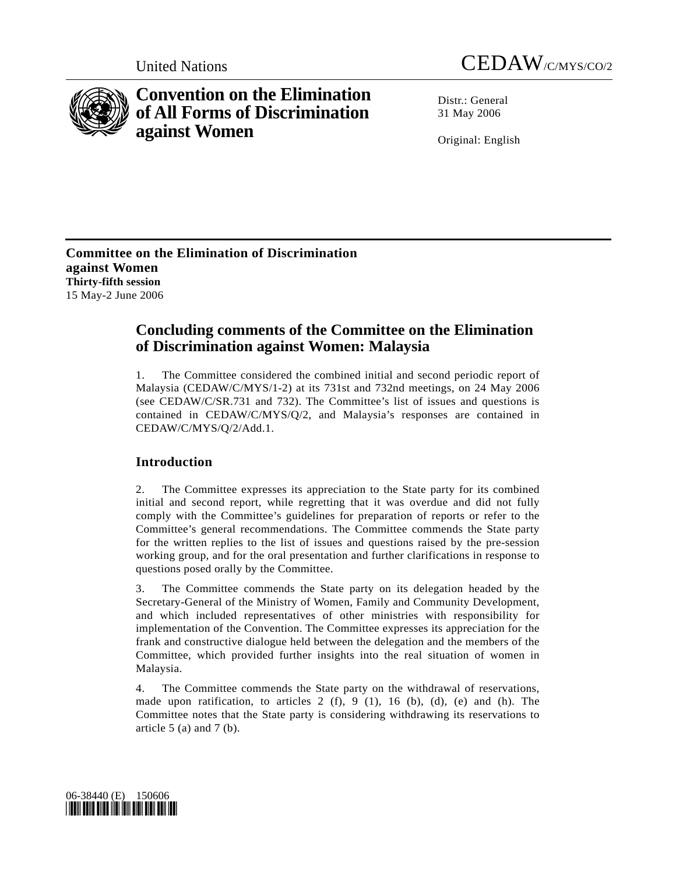



# **Convention on the Elimination of All Forms of Discrimination against Women**

Distr · General 31 May 2006

Original: English

**Committee on the Elimination of Discrimination against Women Thirty-fifth session**  15 May-2 June 2006

# **Concluding comments of the Committee on the Elimination of Discrimination against Women: Malaysia**

1. The Committee considered the combined initial and second periodic report of Malaysia (CEDAW/C/MYS/1-2) at its 731st and 732nd meetings, on 24 May 2006 (see CEDAW/C/SR.731 and 732). The Committee's list of issues and questions is contained in CEDAW/C/MYS/Q/2, and Malaysia's responses are contained in CEDAW/C/MYS/Q/2/Add.1.

# **Introduction**

2. The Committee expresses its appreciation to the State party for its combined initial and second report, while regretting that it was overdue and did not fully comply with the Committee's guidelines for preparation of reports or refer to the Committee's general recommendations. The Committee commends the State party for the written replies to the list of issues and questions raised by the pre-session working group, and for the oral presentation and further clarifications in response to questions posed orally by the Committee.

3. The Committee commends the State party on its delegation headed by the Secretary-General of the Ministry of Women, Family and Community Development, and which included representatives of other ministries with responsibility for implementation of the Convention. The Committee expresses its appreciation for the frank and constructive dialogue held between the delegation and the members of the Committee, which provided further insights into the real situation of women in Malaysia.

4. The Committee commends the State party on the withdrawal of reservations, made upon ratification, to articles 2 (f), 9 (1), 16 (b), (d), (e) and (h). The Committee notes that the State party is considering withdrawing its reservations to article  $5$  (a) and  $7$  (b).

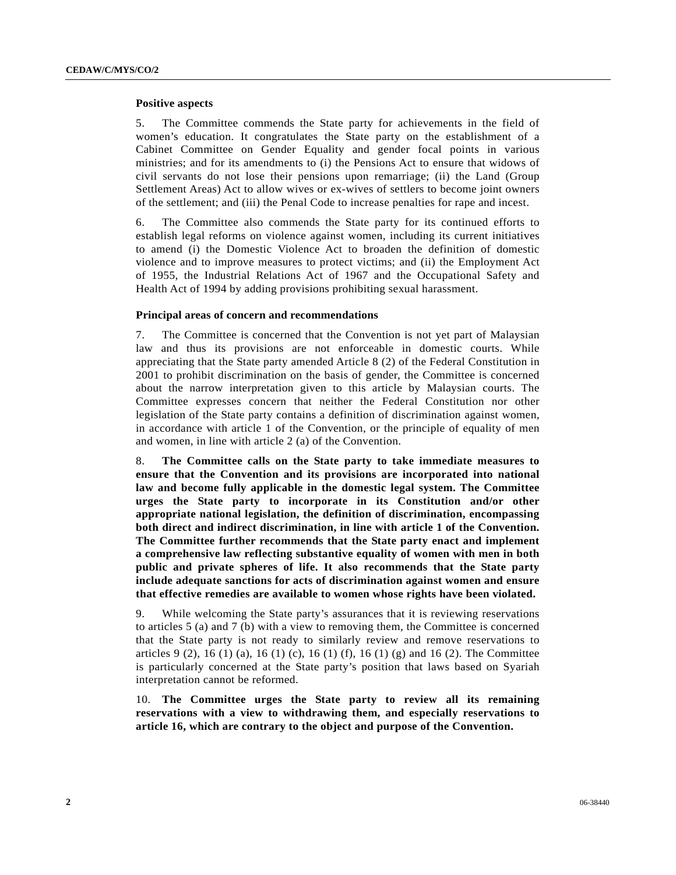#### **Positive aspects**

5. The Committee commends the State party for achievements in the field of women's education. It congratulates the State party on the establishment of a Cabinet Committee on Gender Equality and gender focal points in various ministries; and for its amendments to (i) the Pensions Act to ensure that widows of civil servants do not lose their pensions upon remarriage; (ii) the Land (Group Settlement Areas) Act to allow wives or ex-wives of settlers to become joint owners of the settlement; and (iii) the Penal Code to increase penalties for rape and incest.

6. The Committee also commends the State party for its continued efforts to establish legal reforms on violence against women, including its current initiatives to amend (i) the Domestic Violence Act to broaden the definition of domestic violence and to improve measures to protect victims; and (ii) the Employment Act of 1955, the Industrial Relations Act of 1967 and the Occupational Safety and Health Act of 1994 by adding provisions prohibiting sexual harassment.

### **Principal areas of concern and recommendations**

7. The Committee is concerned that the Convention is not yet part of Malaysian law and thus its provisions are not enforceable in domestic courts. While appreciating that the State party amended Article 8 (2) of the Federal Constitution in 2001 to prohibit discrimination on the basis of gender, the Committee is concerned about the narrow interpretation given to this article by Malaysian courts. The Committee expresses concern that neither the Federal Constitution nor other legislation of the State party contains a definition of discrimination against women, in accordance with article 1 of the Convention, or the principle of equality of men and women, in line with article 2 (a) of the Convention.

8. **The Committee calls on the State party to take immediate measures to ensure that the Convention and its provisions are incorporated into national law and become fully applicable in the domestic legal system. The Committee urges the State party to incorporate in its Constitution and/or other appropriate national legislation, the definition of discrimination, encompassing both direct and indirect discrimination, in line with article 1 of the Convention. The Committee further recommends that the State party enact and implement a comprehensive law reflecting substantive equality of women with men in both public and private spheres of life. It also recommends that the State party include adequate sanctions for acts of discrimination against women and ensure that effective remedies are available to women whose rights have been violated.**

9. While welcoming the State party's assurances that it is reviewing reservations to articles 5 (a) and 7 (b) with a view to removing them, the Committee is concerned that the State party is not ready to similarly review and remove reservations to articles 9 (2), 16 (1) (a), 16 (1) (c), 16 (1) (f), 16 (1) (g) and 16 (2). The Committee is particularly concerned at the State party's position that laws based on Syariah interpretation cannot be reformed.

10. **The Committee urges the State party to review all its remaining reservations with a view to withdrawing them, and especially reservations to article 16, which are contrary to the object and purpose of the Convention.**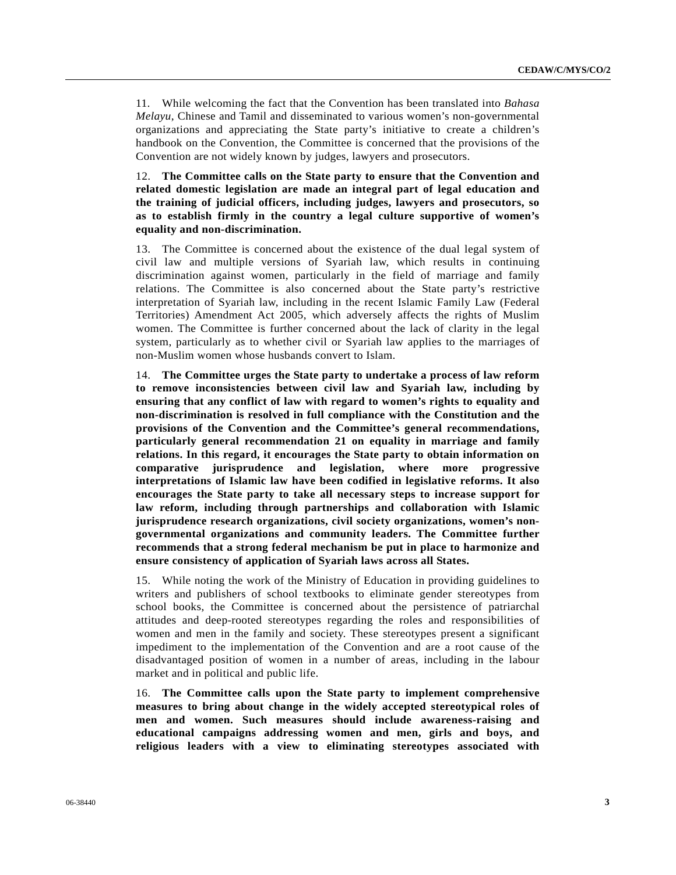11. While welcoming the fact that the Convention has been translated into *Bahasa Melayu*, Chinese and Tamil and disseminated to various women's non-governmental organizations and appreciating the State party's initiative to create a children's handbook on the Convention, the Committee is concerned that the provisions of the Convention are not widely known by judges, lawyers and prosecutors.

12. **The Committee calls on the State party to ensure that the Convention and related domestic legislation are made an integral part of legal education and the training of judicial officers, including judges, lawyers and prosecutors, so as to establish firmly in the country a legal culture supportive of women's equality and non-discrimination.**

13. The Committee is concerned about the existence of the dual legal system of civil law and multiple versions of Syariah law, which results in continuing discrimination against women, particularly in the field of marriage and family relations. The Committee is also concerned about the State party's restrictive interpretation of Syariah law, including in the recent Islamic Family Law (Federal Territories) Amendment Act 2005, which adversely affects the rights of Muslim women. The Committee is further concerned about the lack of clarity in the legal system, particularly as to whether civil or Syariah law applies to the marriages of non-Muslim women whose husbands convert to Islam.

14. **The Committee urges the State party to undertake a process of law reform to remove inconsistencies between civil law and Syariah law, including by ensuring that any conflict of law with regard to women's rights to equality and non-discrimination is resolved in full compliance with the Constitution and the provisions of the Convention and the Committee's general recommendations, particularly general recommendation 21 on equality in marriage and family relations. In this regard, it encourages the State party to obtain information on comparative jurisprudence and legislation, where more progressive interpretations of Islamic law have been codified in legislative reforms. It also encourages the State party to take all necessary steps to increase support for law reform, including through partnerships and collaboration with Islamic jurisprudence research organizations, civil society organizations, women's nongovernmental organizations and community leaders. The Committee further recommends that a strong federal mechanism be put in place to harmonize and ensure consistency of application of Syariah laws across all States.**

15. While noting the work of the Ministry of Education in providing guidelines to writers and publishers of school textbooks to eliminate gender stereotypes from school books, the Committee is concerned about the persistence of patriarchal attitudes and deep-rooted stereotypes regarding the roles and responsibilities of women and men in the family and society. These stereotypes present a significant impediment to the implementation of the Convention and are a root cause of the disadvantaged position of women in a number of areas, including in the labour market and in political and public life.

16. **The Committee calls upon the State party to implement comprehensive measures to bring about change in the widely accepted stereotypical roles of men and women. Such measures should include awareness-raising and educational campaigns addressing women and men, girls and boys, and religious leaders with a view to eliminating stereotypes associated with**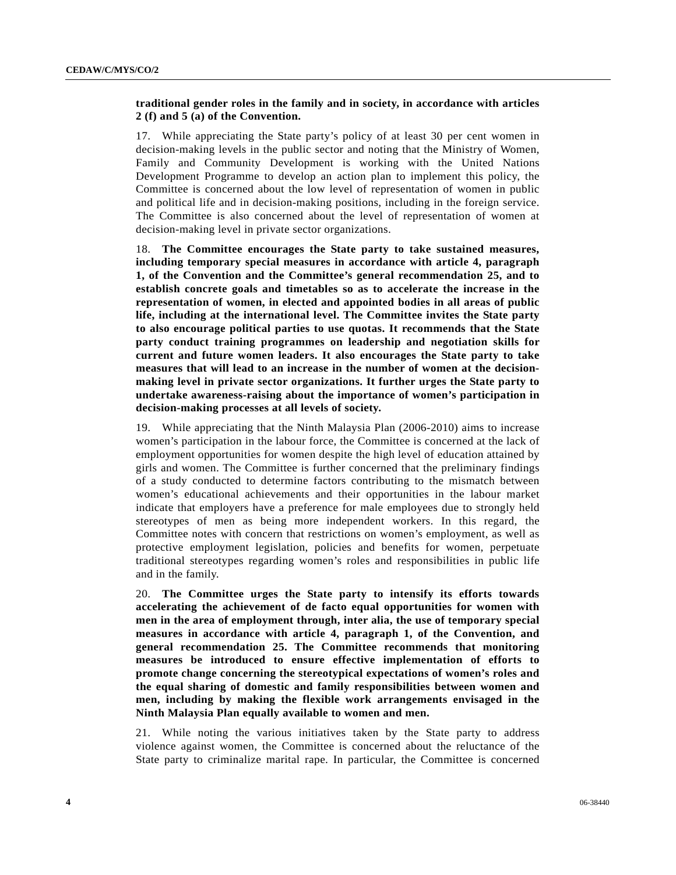## **traditional gender roles in the family and in society, in accordance with articles 2 (f) and 5 (a) of the Convention.**

17. While appreciating the State party's policy of at least 30 per cent women in decision-making levels in the public sector and noting that the Ministry of Women, Family and Community Development is working with the United Nations Development Programme to develop an action plan to implement this policy, the Committee is concerned about the low level of representation of women in public and political life and in decision-making positions, including in the foreign service. The Committee is also concerned about the level of representation of women at decision-making level in private sector organizations.

18. **The Committee encourages the State party to take sustained measures, including temporary special measures in accordance with article 4, paragraph 1, of the Convention and the Committee's general recommendation 25, and to establish concrete goals and timetables so as to accelerate the increase in the representation of women, in elected and appointed bodies in all areas of public life, including at the international level. The Committee invites the State party to also encourage political parties to use quotas. It recommends that the State party conduct training programmes on leadership and negotiation skills for current and future women leaders. It also encourages the State party to take measures that will lead to an increase in the number of women at the decisionmaking level in private sector organizations. It further urges the State party to undertake awareness-raising about the importance of women's participation in decision-making processes at all levels of society.**

19. While appreciating that the Ninth Malaysia Plan (2006-2010) aims to increase women's participation in the labour force, the Committee is concerned at the lack of employment opportunities for women despite the high level of education attained by girls and women. The Committee is further concerned that the preliminary findings of a study conducted to determine factors contributing to the mismatch between women's educational achievements and their opportunities in the labour market indicate that employers have a preference for male employees due to strongly held stereotypes of men as being more independent workers. In this regard, the Committee notes with concern that restrictions on women's employment, as well as protective employment legislation, policies and benefits for women, perpetuate traditional stereotypes regarding women's roles and responsibilities in public life and in the family.

20. **The Committee urges the State party to intensify its efforts towards accelerating the achievement of de facto equal opportunities for women with men in the area of employment through, inter alia, the use of temporary special measures in accordance with article 4, paragraph 1, of the Convention, and general recommendation 25. The Committee recommends that monitoring measures be introduced to ensure effective implementation of efforts to promote change concerning the stereotypical expectations of women's roles and the equal sharing of domestic and family responsibilities between women and men, including by making the flexible work arrangements envisaged in the Ninth Malaysia Plan equally available to women and men.**

21. While noting the various initiatives taken by the State party to address violence against women, the Committee is concerned about the reluctance of the State party to criminalize marital rape. In particular, the Committee is concerned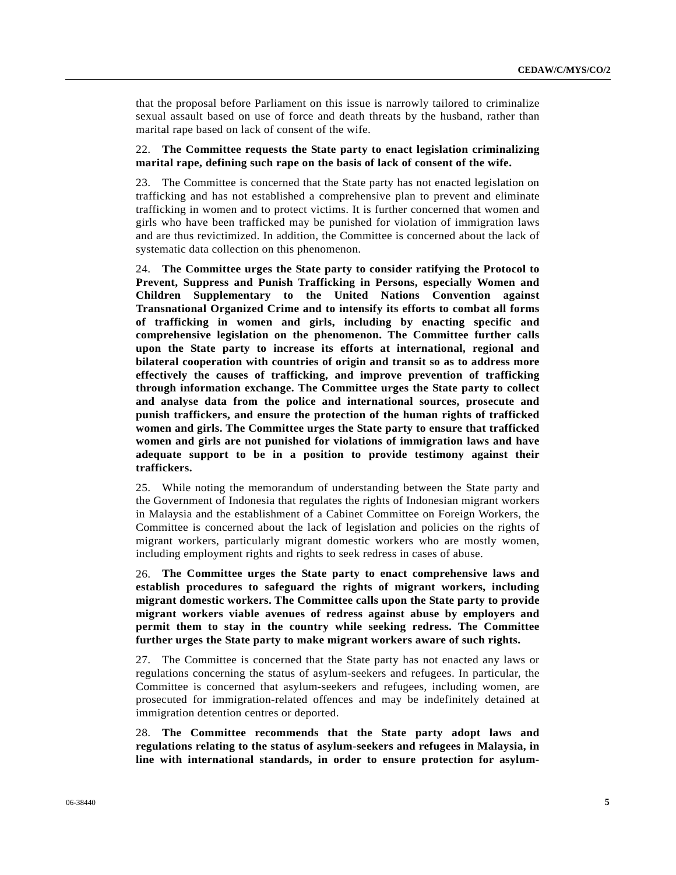that the proposal before Parliament on this issue is narrowly tailored to criminalize sexual assault based on use of force and death threats by the husband, rather than marital rape based on lack of consent of the wife.

### 22. **The Committee requests the State party to enact legislation criminalizing marital rape, defining such rape on the basis of lack of consent of the wife.**

23. The Committee is concerned that the State party has not enacted legislation on trafficking and has not established a comprehensive plan to prevent and eliminate trafficking in women and to protect victims. It is further concerned that women and girls who have been trafficked may be punished for violation of immigration laws and are thus revictimized. In addition, the Committee is concerned about the lack of systematic data collection on this phenomenon.

24. **The Committee urges the State party to consider ratifying the Protocol to Prevent, Suppress and Punish Trafficking in Persons, especially Women and Children Supplementary to the United Nations Convention against Transnational Organized Crime and to intensify its efforts to combat all forms of trafficking in women and girls, including by enacting specific and comprehensive legislation on the phenomenon. The Committee further calls upon the State party to increase its efforts at international, regional and bilateral cooperation with countries of origin and transit so as to address more effectively the causes of trafficking, and improve prevention of trafficking through information exchange. The Committee urges the State party to collect and analyse data from the police and international sources, prosecute and punish traffickers, and ensure the protection of the human rights of trafficked women and girls. The Committee urges the State party to ensure that trafficked women and girls are not punished for violations of immigration laws and have adequate support to be in a position to provide testimony against their traffickers.**

25. While noting the memorandum of understanding between the State party and the Government of Indonesia that regulates the rights of Indonesian migrant workers in Malaysia and the establishment of a Cabinet Committee on Foreign Workers, the Committee is concerned about the lack of legislation and policies on the rights of migrant workers, particularly migrant domestic workers who are mostly women, including employment rights and rights to seek redress in cases of abuse.

26. **The Committee urges the State party to enact comprehensive laws and establish procedures to safeguard the rights of migrant workers, including migrant domestic workers. The Committee calls upon the State party to provide migrant workers viable avenues of redress against abuse by employers and permit them to stay in the country while seeking redress. The Committee further urges the State party to make migrant workers aware of such rights.**

27. The Committee is concerned that the State party has not enacted any laws or regulations concerning the status of asylum-seekers and refugees. In particular, the Committee is concerned that asylum-seekers and refugees, including women, are prosecuted for immigration-related offences and may be indefinitely detained at immigration detention centres or deported.

28. **The Committee recommends that the State party adopt laws and regulations relating to the status of asylum-seekers and refugees in Malaysia, in line with international standards, in order to ensure protection for asylum-**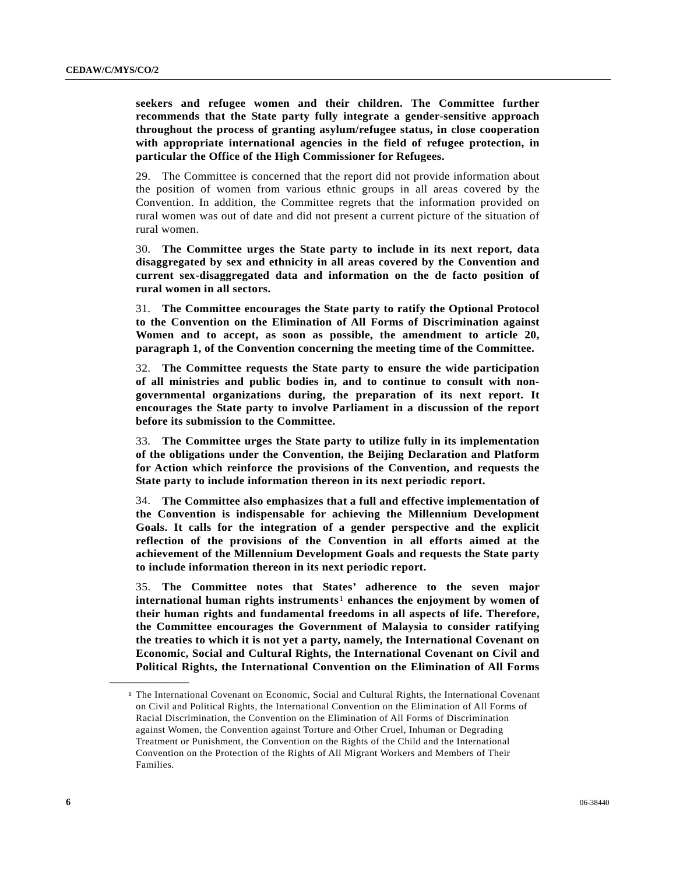**seekers and refugee women and their children. The Committee further recommends that the State party fully integrate a gender-sensitive approach throughout the process of granting asylum/refugee status, in close cooperation with appropriate international agencies in the field of refugee protection, in particular the Office of the High Commissioner for Refugees.**

29. The Committee is concerned that the report did not provide information about the position of women from various ethnic groups in all areas covered by the Convention. In addition, the Committee regrets that the information provided on rural women was out of date and did not present a current picture of the situation of rural women.

30. **The Committee urges the State party to include in its next report, data disaggregated by sex and ethnicity in all areas covered by the Convention and current sex-disaggregated data and information on the de facto position of rural women in all sectors.**

31. **The Committee encourages the State party to ratify the Optional Protocol to the Convention on the Elimination of All Forms of Discrimination against Women and to accept, as soon as possible, the amendment to article 20, paragraph 1, of the Convention concerning the meeting time of the Committee.**

32. **The Committee requests the State party to ensure the wide participation of all ministries and public bodies in, and to continue to consult with nongovernmental organizations during, the preparation of its next report. It encourages the State party to involve Parliament in a discussion of the report before its submission to the Committee.**

33. **The Committee urges the State party to utilize fully in its implementation of the obligations under the Convention, the Beijing Declaration and Platform for Action which reinforce the provisions of the Convention, and requests the State party to include information thereon in its next periodic report.**

34. **The Committee also emphasizes that a full and effective implementation of the Convention is indispensable for achieving the Millennium Development Goals. It calls for the integration of a gender perspective and the explicit reflection of the provisions of the Convention in all efforts aimed at the achievement of the Millennium Development Goals and requests the State party to include information thereon in its next periodic report.**

35. **The Committee notes that States' adherence to the seven major international human rights instruments**[1](#page-5-0) **enhances the enjoyment by women of their human rights and fundamental freedoms in all aspects of life. Therefore, the Committee encourages the Government of Malaysia to consider ratifying the treaties to which it is not yet a party, namely, the International Covenant on Economic, Social and Cultural Rights, the International Covenant on Civil and Political Rights, the International Convention on the Elimination of All Forms** 

<span id="page-5-0"></span>**\_\_\_\_\_\_\_\_\_\_\_\_\_\_\_\_\_\_** 

<sup>1</sup> The International Covenant on Economic, Social and Cultural Rights, the International Covenant on Civil and Political Rights, the International Convention on the Elimination of All Forms of Racial Discrimination, the Convention on the Elimination of All Forms of Discrimination against Women, the Convention against Torture and Other Cruel, Inhuman or Degrading Treatment or Punishment, the Convention on the Rights of the Child and the International Convention on the Protection of the Rights of All Migrant Workers and Members of Their Families.